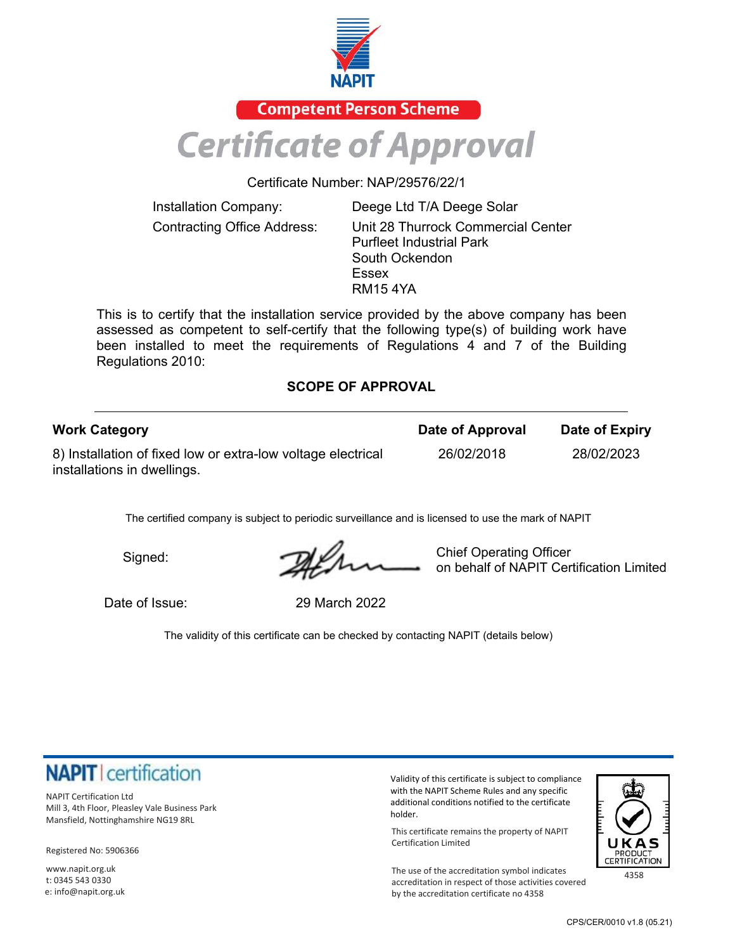



Certificate Number: NAP/29576/22/1

Installation Company: Contracting Office Address: Deege Ltd T/A Deege Solar Unit 28 Thurrock Commercial Center Purfleet Industrial Park South Ockendon **Essex** RM15 4YA

This is to certify that the installation service provided by the above company has been assessed as competent to self-certify that the following type(s) of building work have been installed to meet the requirements of Regulations 4 and 7 of the Building Regulations 2010:

### **SCOPE OF APPROVAL**

| <b>Work Category</b>                                         | Date of Approval | Date of Expiry |
|--------------------------------------------------------------|------------------|----------------|
| 8) Installation of fixed low or extra-low voltage electrical | 26/02/2018       | 28/02/2023     |
| installations in dwellings.                                  |                  |                |

The certified company is subject to periodic surveillance and is licensed to use the mark of NAPIT

Signed:

Chief Operating Officer on behalf of NAPIT Certification Limited

Date of Issue: 29 March 2022

The validity of this certificate can be checked by contacting NAPIT (details below)

# **NAPIT** certification

NAPIT Certification Ltd Mill 3, 4th Floor, Pleasley Vale Business Park Mansfield, Nottinghamshire NG19 8RL

Registered No: 5906366

[www.napit.org.uk](http://www.napit.org.uk/) t: 0345 543 0330 [e:](mailto:info@napit.org.uk) [info@napit.org.uk](mailto:info@napit.org.uk) Validity of this certificate is subject to compliance with the NAPIT Scheme Rules and any specific additional conditions notified to the certificate holder.

This certificate remains the property of NAPIT Certification Limited

The use of the accreditation symbol indicates accreditation in respect of those activities covered by the accreditation certificate no 4358

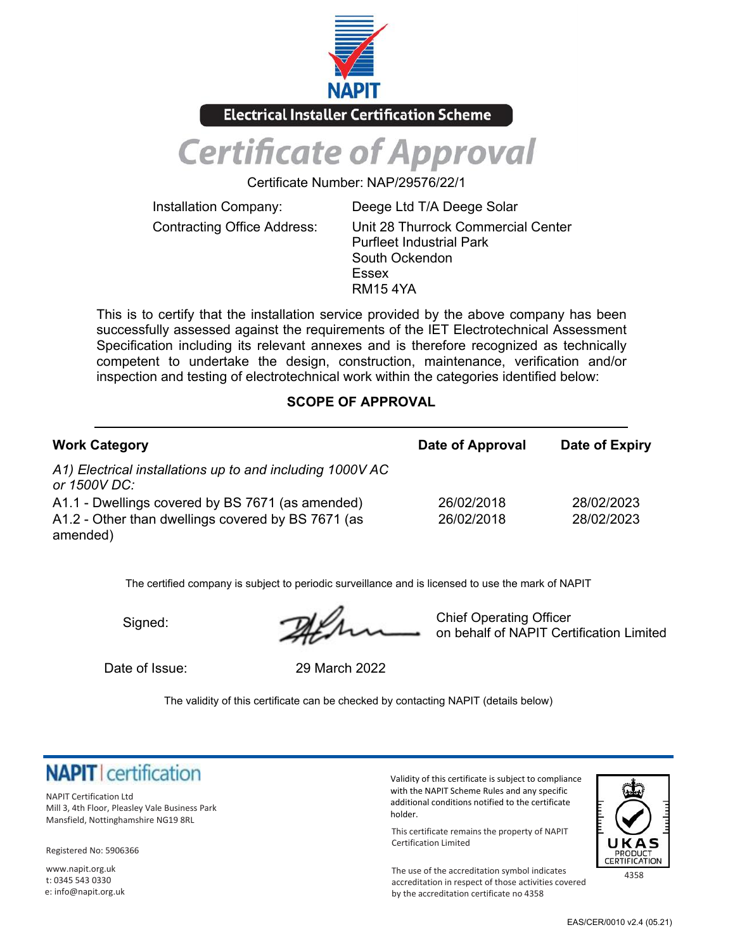



Certificate Number: NAP/29576/22/1

Installation Company: Contracting Office Address: Deege Ltd T/A Deege Solar Unit 28 Thurrock Commercial Center Purfleet Industrial Park South Ockendon **Essex** RM15 4YA

This is to certify that the installation service provided by the above company has been successfully assessed against the requirements of the IET Electrotechnical Assessment Specification including its relevant annexes and is therefore recognized as technically competent to undertake the design, construction, maintenance, verification and/or inspection and testing of electrotechnical work within the categories identified below:

### **SCOPE OF APPROVAL**

| <b>Work Category</b>                                                      | Date of Approval | Date of Expiry |
|---------------------------------------------------------------------------|------------------|----------------|
| A1) Electrical installations up to and including 1000V AC<br>or 1500V DC: |                  |                |
| A1.1 - Dwellings covered by BS 7671 (as amended)                          | 26/02/2018       | 28/02/2023     |
| A1.2 - Other than dwellings covered by BS 7671 (as                        | 26/02/2018       | 28/02/2023     |
| amended)                                                                  |                  |                |

The certified company is subject to periodic surveillance and is licensed to use the mark of NAPIT

Signed:

Chief Operating Officer on behalf of NAPIT Certification Limited

Date of Issue: 29 March 2022

The validity of this certificate can be checked by contacting NAPIT (details below)

## **NAPIT** certification

NAPIT Certification Ltd Mill 3, 4th Floor, Pleasley Vale Business Park Mansfield, Nottinghamshire NG19 8RL

Registered No: 5906366

[www.napit.org.uk](http://www.napit.org.uk/) t: 0345 543 0330 [e:](mailto:info@napit.org.uk) [info@napit.org.uk](mailto:info@napit.org.uk) Validity of this certificate is subject to compliance with the NAPIT Scheme Rules and any specific additional conditions notified to the certificate holder.

This certificate remains the property of NAPIT Certification Limited

The use of the accreditation symbol indicates accreditation in respect of those activities covered by the accreditation certificate no 4358